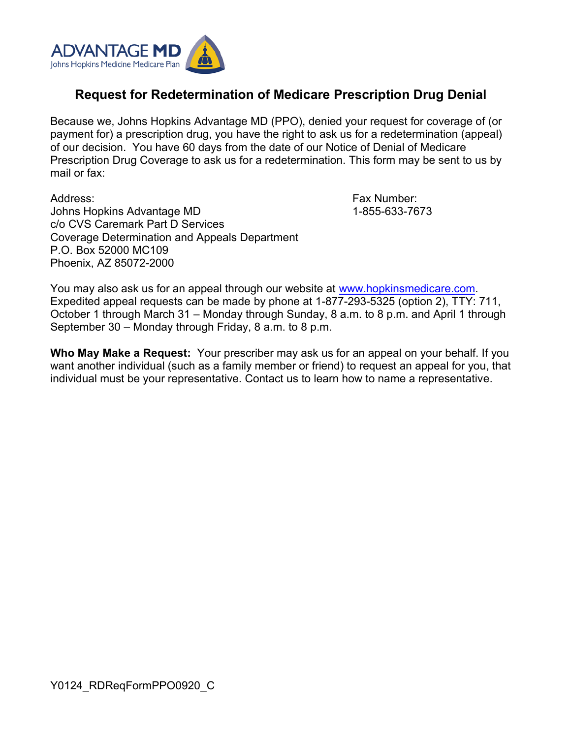

## **Request for Redetermination of Medicare Prescription Drug Denial**

Because we, Johns Hopkins Advantage MD (PPO), denied your request for coverage of (or payment for) a prescription drug, you have the right to ask us for a redetermination (appeal) of our decision. You have 60 days from the date of our Notice of Denial of Medicare Prescription Drug Coverage to ask us for a redetermination. This form may be sent to us by mail or fax:

Address: Johns Hopkins Advantage MD c/o CVS Caremark Part D Services Coverage Determination and Appeals Department P.O. Box 52000 MC109 Phoenix, AZ 85072-2000

Fax Number: 1-855-633-7673

You may also ask us for an appeal through our website at [www.hopkinsmedicare.com.](file:///C:/Users/SCann/AppData/Local/Microsoft/Windows/Temporary%20Internet%20Files/Content.Outlook/FWMXJYT9/www.hopkinsmedicare.com/) Expedited appeal requests can be made by phone at 1-877-293-5325 (option 2), TTY: 711, October 1 through March 31 – Monday through Sunday, 8 a.m. to 8 p.m. and April 1 through September 30 – Monday through Friday, 8 a.m. to 8 p.m.

**Who May Make a Request:** Your prescriber may ask us for an appeal on your behalf. If you want another individual (such as a family member or friend) to request an appeal for you, that individual must be your representative. Contact us to learn how to name a representative.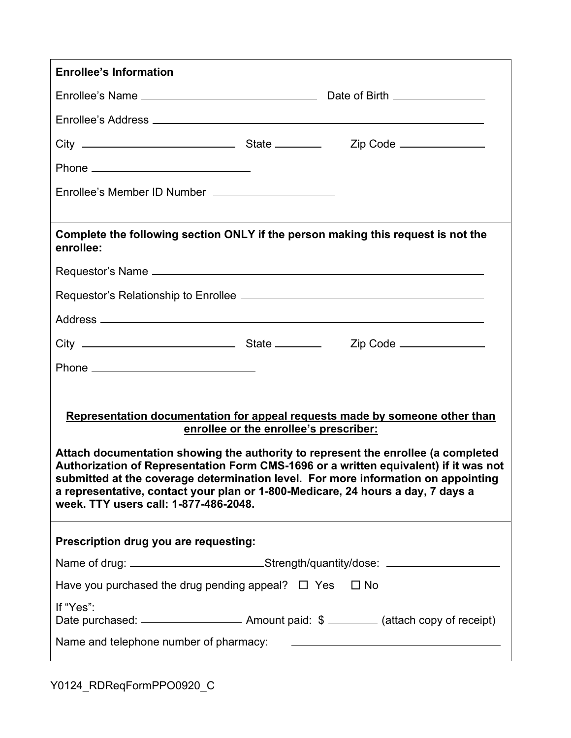| <b>Enrollee's Information</b>                                                                                                                                                                                                                                                                                                                                                                                                                                                                                       |                                                                                  |  |  |
|---------------------------------------------------------------------------------------------------------------------------------------------------------------------------------------------------------------------------------------------------------------------------------------------------------------------------------------------------------------------------------------------------------------------------------------------------------------------------------------------------------------------|----------------------------------------------------------------------------------|--|--|
|                                                                                                                                                                                                                                                                                                                                                                                                                                                                                                                     |                                                                                  |  |  |
|                                                                                                                                                                                                                                                                                                                                                                                                                                                                                                                     |                                                                                  |  |  |
|                                                                                                                                                                                                                                                                                                                                                                                                                                                                                                                     |                                                                                  |  |  |
|                                                                                                                                                                                                                                                                                                                                                                                                                                                                                                                     |                                                                                  |  |  |
| Enrollee's Member ID Number _______________________                                                                                                                                                                                                                                                                                                                                                                                                                                                                 |                                                                                  |  |  |
|                                                                                                                                                                                                                                                                                                                                                                                                                                                                                                                     |                                                                                  |  |  |
| Complete the following section ONLY if the person making this request is not the<br>enrollee:                                                                                                                                                                                                                                                                                                                                                                                                                       |                                                                                  |  |  |
|                                                                                                                                                                                                                                                                                                                                                                                                                                                                                                                     |                                                                                  |  |  |
|                                                                                                                                                                                                                                                                                                                                                                                                                                                                                                                     |                                                                                  |  |  |
|                                                                                                                                                                                                                                                                                                                                                                                                                                                                                                                     |                                                                                  |  |  |
|                                                                                                                                                                                                                                                                                                                                                                                                                                                                                                                     |                                                                                  |  |  |
|                                                                                                                                                                                                                                                                                                                                                                                                                                                                                                                     |                                                                                  |  |  |
| Representation documentation for appeal requests made by someone other than<br>enrollee or the enrollee's prescriber:<br>Attach documentation showing the authority to represent the enrollee (a completed<br>Authorization of Representation Form CMS-1696 or a written equivalent) if it was not<br>submitted at the coverage determination level. For more information on appointing<br>a representative, contact your plan or 1-800-Medicare, 24 hours a day, 7 days a<br>week. TTY users call: 1-877-486-2048. |                                                                                  |  |  |
| Prescription drug you are requesting:                                                                                                                                                                                                                                                                                                                                                                                                                                                                               |                                                                                  |  |  |
|                                                                                                                                                                                                                                                                                                                                                                                                                                                                                                                     | Name of drug: ______________________________Strength/quantity/dose: ____________ |  |  |
| Have you purchased the drug pending appeal? $\Box$ Yes $\Box$ No                                                                                                                                                                                                                                                                                                                                                                                                                                                    |                                                                                  |  |  |
| If "Yes":                                                                                                                                                                                                                                                                                                                                                                                                                                                                                                           |                                                                                  |  |  |
|                                                                                                                                                                                                                                                                                                                                                                                                                                                                                                                     |                                                                                  |  |  |